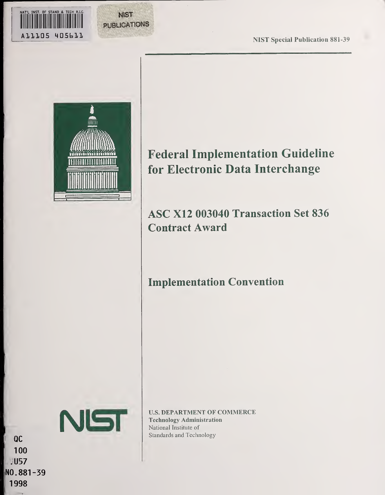



NIST Special Publication 881-39



# Federal Implementation Guideline for Electronic Data Interchange

## ASC X12 003040 Transaction Set 836 Contract Award

## Implementation Convention



U.S. DEPARTMENT OF COMMERCE Technology Administration National Institute of Standards and Technology

QC 100 .U57 NO. 881 -39 1998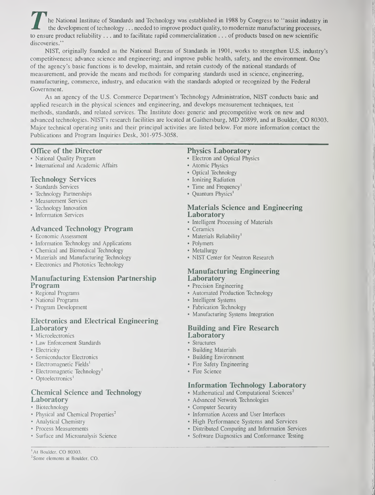rhe National Institute of Standards and Technology was established in <sup>1988</sup> by Congress to "assist industry in the development of technology . .. needed to improve product quality, to modernize manufacturing processes, to ensure product reliability . . . and to facilitate rapid commercialization ... of products based on new scientific discoveries."

NIST, originally founded as the National Bureau of Standards in 1901, works to strengthen U.S. industry's competitiveness; advance science and engineering; and improve public health, safety, and the environment. One of the agency's basic functions is to develop, maintain, and retain custody of the national standards of measurement, and provide the means and methods for comparing standards used in science, engineering, manufacturing, commerce, industry, and education with the standards adopted or recognized by the Federal Government.

As an agency of the U.S. Commerce Department's Technology Administration, NIST conducts basic and applied research in the physical sciences and engineering, and develops measurement techniques, test methods, standards, and related services. The Institute does generic and precompetitive work on new and advanced technologies. NIST's research facilities are located at Gaithersburg, MD 20899, and at Boulder, CO 80303. Major technical operating units and their principal activities are listed below. For more information contact the Publications and Program Inquiries Desk, 301-975-3058.

#### Office of the Director

- National Quality Program
- International and Academic Affairs

#### Technology Services

- Standards Services
- Technology Partnerships
- Measurement Services
- Technology Innovation
- Information Services

#### Advanced Technology Program

- Economic Assessment
- Information Technology and Applications
- Chemical and Biomedical Technology
- Materials and Manufacturing Technology
- Electronics and Photonics Technology

#### Manufacturing Extension Partnership Program

- Regional Programs
- National Programs
- Program Development

#### Electronics and Electrical Engineering Laboratory

- Microelectronics
- Law Enforcement Standards
- Electricity
- Semiconductor Electronics
- Electromagnetic Fields<sup>1</sup>
- Electromagnetic Technology<sup>1</sup>
- Optoelectronics<sup>1</sup>

#### Chemical Science and Technology Laboratory

- Biotechnology
- Physical and Chemical Properties<sup>2</sup>
- Analytical Chemistry
- Process Measurements
- Surface and Microanalysis Science

#### Physics Laboratory

- Electron and Optical Physics
- Atomic Physics
- Optical Technology
- Ionizing Radiation
- Time and Frequency'
- Quantum Physics'

#### Materials Science and Engineering Laboratory

- Intelligent Processing of Materials
- Ceramics
- Materials Reliability<sup>1</sup>
- Polymers
- Metallurgy
- NIST Center for Neutron Research

#### Manufacturing Engineering Laboratory

- Precision Engineering
- Automated Production Technology
- Intelligent Systems
- Fabrication Technology
- Manufacturing Systems Integration

#### Building and Fire Research Laboratory

- Structures
- Building Materials
- Building Environment
- Fire Safety Engineering
- Fire Science

#### Information Technology Laboratory

- Mathematical and Computational Sciences<sup>2</sup>
- Advanced Network Technologies
- Computer Security
- Information Access and User Interfaces
- High Performance Systems and Services
- Distributed Computing and Information Services
- Software Diagnostics and Conformance Testing

'At Boulder, CO 80303.

#### <sup>2</sup> Some elements at Boulder, CO.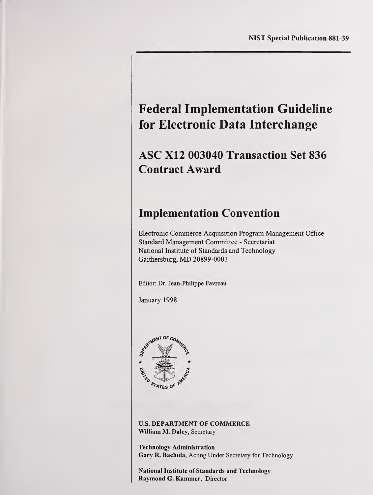# Federal Implementation Guideline for Electronic Data Interchange

## ASC X12 003040 Transaction Set 836 Contract Award

## Implementation Convention

Electronic Commerce Acquisition Program Management Office Standard Management Committee - Secretariat National Institute of Standards and Technology Gaithersburg, MD 20899-0001

Editor: Dr. Jean-Philippe Favreau

January 1998



U.S. DEPARTMENT OF COMMERCE William M. Daley, Secretary

Technology Administration Gary R. Bachula, Acting Under Secretary for Technology

National Institute of Standards and Technology Raymond G. Kammer, Director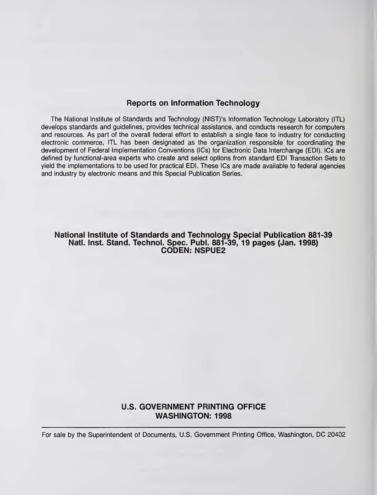#### Reports on Information Technology

The National Institute of Standards and Technology (NIST)'s Information Technology Laboratory (ITL) develops standards and guidelines, provides technical assistance, and conducts research for computers and resources. As part of the overall federal effort to establish a single face to industry for conducting electronic commerce, ITL has been designated as the organization responsible for coordinating the development of Federal Implementation Conventions (ICs) for Electronic Data Interchange (EDI). ICs are defined by functional-area experts who create and select options from standard EDI Transaction Sets to yield the implementations to be used for practical EDI. These ICs are made available to federal agencies and industry by electronic means and this Special Publication Series.

#### National Institute of Standards and Technology Special Publication 881-39 Natl. Inst. Stand. Technol. Spec. Publ. 881-39, 19 pages (Jan. 1998) CODEN: NSPUE2

#### U.S. GOVERNMENT PRINTING OFFICE WASHINGTON: 1998

For sale by the Superintendent of Documents, U.S. Government Printing Office, Washington, DC 20402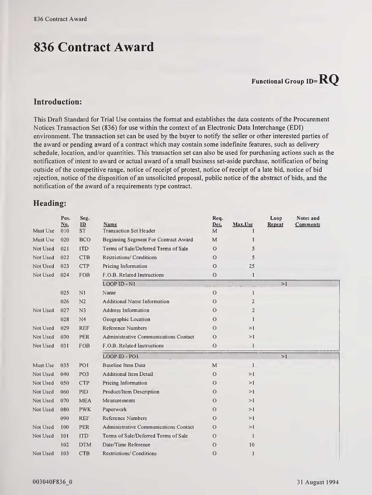# 836 Contract Award

## Functional Group ID= $\mathbf{R}\mathbf{Q}$

#### Introduction:

This Draft Standard for Trial Use contains the format and establishes the data contents of the Procurement Notices Transaction Set (836) for use within the context of an Electronic Data Interchange (EDI) environment. The transaction set can be used by the buyer to notify the seller or other interested parties of the award or pending award of a contract which may contain some indefinite features, such as delivery schedule, location, and/or quantities. This transaction set can also be used for purchasing actions such as the notification of intent to award or actual award of a small business set-aside purchase, notification of being outside of the competitive range, notice of receipt of protest, notice of receipt of a late bid, notice of bid rejection, notice of the disposition of an unsolicited proposal, public notice of the abstract of bids, and the notification of the award of a requirements type contract.

#### Heading:

|          | Pos.       | Seg.                      |                                              | Req.           |                | Loop   | Notes and       |
|----------|------------|---------------------------|----------------------------------------------|----------------|----------------|--------|-----------------|
| Must Use | No.<br>010 | $\mathbf{D}$<br><b>ST</b> | <b>Name</b><br><b>Transaction Set Header</b> | Des.<br>M      | Max.Use        | Repeat | <b>Comments</b> |
| Must Use | 020        | <b>BCO</b>                | Beginning Segment For Contract Award         | M              |                |        |                 |
| Not Used | 021        | <b>ITD</b>                | Terms of Sale/Deferred Terms of Sale         | $\mathcal{O}$  | 5              |        |                 |
| Not Used | 022        | <b>CTB</b>                | <b>Restrictions/Conditions</b>               | $\overline{O}$ | 5              |        |                 |
| Not Used | 023        | <b>CTP</b>                | Pricing Information                          | $\Omega$       | 25             |        |                 |
| Not Used | 024        | FOB                       | F.O.B. Related Instructions                  | $\mathcal{O}$  | 1              |        |                 |
|          |            |                           | LOOP ID - N1                                 |                |                | >1     |                 |
|          | 025        | N1                        | Name                                         | $\mathcal{O}$  | 1              |        |                 |
|          | 026        | N <sub>2</sub>            | Additional Name Information                  | $\Omega$       | 2              |        |                 |
| Not Used | 027        | N <sub>3</sub>            | Address Information                          | $\overline{O}$ | $\overline{2}$ |        |                 |
|          | 028        | N <sub>4</sub>            | Geographic Location                          | $\overline{O}$ |                |        |                 |
| Not Used | 029        | <b>REF</b>                | Reference Numbers                            | $\overline{O}$ | >1             |        |                 |
| Not Used | 030        | <b>PER</b>                | <b>Administrative Communications Contact</b> | $\mathcal{O}$  | >1             |        |                 |
| Not Used | 031        | FOB                       | F.O.B. Related Instructions                  | $\mathcal{O}$  | $\mathbf{1}$   |        |                 |
|          |            |                           | LOOP ID - PO1                                |                |                | >1     |                 |
| Must Use | 035        | PO1                       | <b>Baseline Item Data</b>                    | $\mathbf M$    | $\mathbf{1}$   |        |                 |
| Not Used | 040        | PO <sub>3</sub>           | <b>Additional Item Detail</b>                | $\overline{O}$ | >1             |        |                 |
| Not Used | 050        | <b>CTP</b>                | Pricing Information                          | $\Omega$       | >1             |        |                 |
| Not Used | 060        | PID                       | Product/Item Description                     | $\mathcal{O}$  | >1             |        |                 |
| Not Used | 070        | <b>MEA</b>                | Measurements                                 | $\mathcal{O}$  | >1             |        |                 |
| Not Used | 080        | <b>PWK</b>                | Paperwork                                    | $\overline{O}$ | >1             |        |                 |
|          | 090        | <b>REF</b>                | Reference Numbers                            | $\Omega$       | >1             |        |                 |
| Not Used | 100        | <b>PER</b>                | Administrative Communications Contact        | $\mathcal{O}$  | >1             |        |                 |
| Not Used | 101        | <b>ITD</b>                | Terms of Sale/Deferred Terms of Sale         | $\overline{O}$ | $\mathbf{1}$   |        |                 |
|          | 102        | <b>DTM</b>                | Date/Time Reference                          | $\circ$        | 10             |        |                 |
| Not Used | 103        | <b>CTB</b>                | <b>Restrictions/Conditions</b>               | $\mathcal{O}$  | 1              |        |                 |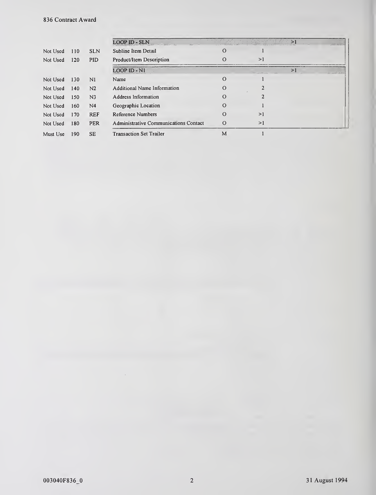#### 836 Contract Award

|          |     |                | LOOP ID - SLN                         |   | 303 55122 441 831 452 453 454 | $\geq$ 1 | ani mara     |
|----------|-----|----------------|---------------------------------------|---|-------------------------------|----------|--------------|
| Not Used | 110 | <b>SLN</b>     | Subline Item Detail                   | О |                               |          |              |
| Not Used | 120 | <b>PID</b>     | Product/Item Description              | О | >1                            |          |              |
|          |     |                | LOOP ID - N1                          |   | San Called Bill Com           | >1       | paramati mas |
| Not Used | 130 | N1             | Name                                  | Ο |                               |          |              |
| Not Used | 140 | N <sub>2</sub> | <b>Additional Name Information</b>    | O |                               |          |              |
| Not Used | 150 | N <sub>3</sub> | Address Information                   | О |                               |          |              |
| Not Used | 160 | N <sub>4</sub> | Geographic Location                   | О |                               |          |              |
| Not Used | 170 | <b>REF</b>     | Reference Numbers                     | O | >1                            |          |              |
| Not Used | 180 | PER            | Administrative Communications Contact | О | >1                            |          |              |
| Must Use | 190 | <b>SE</b>      | <b>Transaction Set Trailer</b>        | M |                               |          |              |

 $\sim$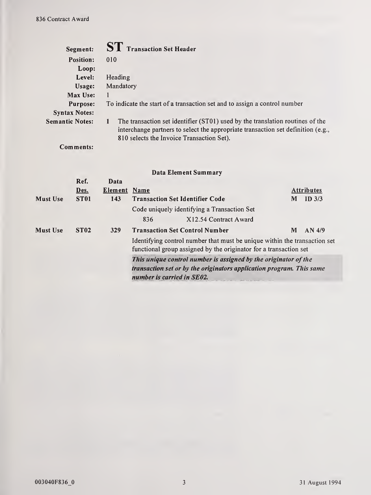|                 | Segment:               |                | $ST$ Transaction Set Header                                                                                                                                                                                                |                   |
|-----------------|------------------------|----------------|----------------------------------------------------------------------------------------------------------------------------------------------------------------------------------------------------------------------------|-------------------|
|                 | <b>Position:</b>       | 010            |                                                                                                                                                                                                                            |                   |
|                 | Loop:                  |                |                                                                                                                                                                                                                            |                   |
|                 | Level:                 | Heading        |                                                                                                                                                                                                                            |                   |
|                 | Usage:                 | Mandatory      |                                                                                                                                                                                                                            |                   |
|                 | Max Use:               |                |                                                                                                                                                                                                                            |                   |
|                 | Purpose:               |                | To indicate the start of a transaction set and to assign a control number                                                                                                                                                  |                   |
|                 | <b>Syntax Notes:</b>   |                |                                                                                                                                                                                                                            |                   |
|                 | <b>Semantic Notes:</b> | 1              | The transaction set identifier (ST01) used by the translation routines of the<br>interchange partners to select the appropriate transaction set definition (e.g.,<br>810 selects the Invoice Transaction Set).             |                   |
|                 | Comments:              |                |                                                                                                                                                                                                                            |                   |
|                 |                        |                | Data Element Summary                                                                                                                                                                                                       |                   |
|                 | Ref.                   | Data           |                                                                                                                                                                                                                            |                   |
|                 | Des.                   | <b>Element</b> | Name                                                                                                                                                                                                                       | <b>Attributes</b> |
| <b>Must Use</b> | <b>ST01</b>            | 143            | <b>Transaction Set Identifier Code</b>                                                                                                                                                                                     | ID $3/3$<br>M     |
|                 |                        |                | Code uniquely identifying a Transaction Set                                                                                                                                                                                |                   |
|                 |                        |                | 836<br>X12.54 Contract Award                                                                                                                                                                                               |                   |
| <b>Must Use</b> | <b>ST02</b>            | 329            | <b>Transaction Set Control Number</b>                                                                                                                                                                                      | $AN$ 4/9<br>M     |
|                 |                        |                | Identifying control number that must be unique within the transaction set<br>functional group assigned by the originator for a transaction set                                                                             |                   |
|                 |                        |                | This unique control number is assigned by the originator of the<br>transaction set or by the originators application program. This same<br>number is carried in SE02.<br>the mode of the collection and the behavior - the |                   |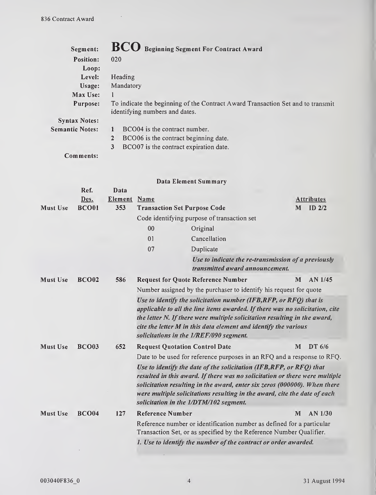|                 | Segment:<br><b>Position:</b><br>Loop:<br>Level:<br>Usage:<br>Max Use:<br>Purpose:<br><b>Syntax Notes:</b><br><b>Semantic Notes:</b><br>Comments: | 020<br>Heading<br>Mandatory<br>1<br>Ŧ.<br>2<br>3 | identifying numbers and dates. | <b>BCO</b> Beginning Segment For Contract Award<br>To indicate the beginning of the Contract Award Transaction Set and to transmit<br>BCO04 is the contract number.<br>BCO06 is the contract beginning date.<br>BCO07 is the contract expiration date.                                                                                                  |                   |
|-----------------|--------------------------------------------------------------------------------------------------------------------------------------------------|--------------------------------------------------|--------------------------------|---------------------------------------------------------------------------------------------------------------------------------------------------------------------------------------------------------------------------------------------------------------------------------------------------------------------------------------------------------|-------------------|
|                 |                                                                                                                                                  |                                                  |                                | Data Element Summary                                                                                                                                                                                                                                                                                                                                    |                   |
|                 | Ref.                                                                                                                                             | Data                                             |                                |                                                                                                                                                                                                                                                                                                                                                         |                   |
|                 | Des.                                                                                                                                             | <b>Element</b>                                   | <b>Name</b>                    |                                                                                                                                                                                                                                                                                                                                                         | <b>Attributes</b> |
| <b>Must Use</b> | <b>BCO01</b>                                                                                                                                     | 353                                              |                                | <b>Transaction Set Purpose Code</b>                                                                                                                                                                                                                                                                                                                     | M<br>ID $2/2$     |
|                 |                                                                                                                                                  |                                                  |                                | Code identifying purpose of transaction set                                                                                                                                                                                                                                                                                                             |                   |
|                 |                                                                                                                                                  |                                                  | 00                             | Original                                                                                                                                                                                                                                                                                                                                                |                   |
|                 |                                                                                                                                                  |                                                  | 01                             | Cancellation                                                                                                                                                                                                                                                                                                                                            |                   |
|                 |                                                                                                                                                  |                                                  | 07                             | Duplicate                                                                                                                                                                                                                                                                                                                                               |                   |
|                 |                                                                                                                                                  |                                                  |                                | Use to indicate the re-transmission of a previously<br>transmitted award announcement.                                                                                                                                                                                                                                                                  |                   |
| <b>Must Use</b> | <b>BCO02</b>                                                                                                                                     | 586                                              |                                | <b>Request for Quote Reference Number</b>                                                                                                                                                                                                                                                                                                               | AN 1/45<br>M      |
|                 |                                                                                                                                                  |                                                  |                                | Number assigned by the purchaser to identify his request for quote                                                                                                                                                                                                                                                                                      |                   |
|                 |                                                                                                                                                  |                                                  |                                | Use to identify the solicitation number (IFB, RFP, or RFQ) that is                                                                                                                                                                                                                                                                                      |                   |
|                 |                                                                                                                                                  |                                                  |                                | applicable to all the line items awarded. If there was no solicitation, cite<br>the letter N. If there were multiple solicitation resulting in the award,<br>cite the letter M in this data element and identify the various<br>solicitations in the 1/REF/090 segment.                                                                                 |                   |
| <b>Must Use</b> | <b>BCO03</b>                                                                                                                                     | 652                                              |                                | <b>Request Quotation Control Date</b>                                                                                                                                                                                                                                                                                                                   | M<br>DT 6/6       |
|                 |                                                                                                                                                  |                                                  |                                | Date to be used for reference purposes in an RFQ and a response to RFQ.                                                                                                                                                                                                                                                                                 |                   |
|                 |                                                                                                                                                  |                                                  |                                | Use to identify the date of the solicitation (IFB, RFP, or RFQ) that<br>resulted in this award. If there was no solicitation or there were multiple<br>solicitation resulting in the award, enter six zeros (000000). When there<br>were multiple solicitations resulting in the award, cite the date of each<br>solicitation in the 1/DTM/102 segment. |                   |
| <b>Must Use</b> | <b>BCO04</b>                                                                                                                                     | 127                                              | <b>Reference Number</b>        |                                                                                                                                                                                                                                                                                                                                                         | AN 1/30<br>M      |

Reference number or identification number as defined for a particular Transaction Set, or as specified by the Reference Number Qualifier. 1. Use to identify the number of the contract or order awarded.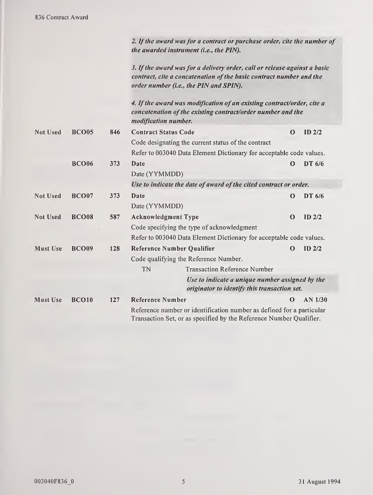|                 |              |     |                                                     | 2. If the award was for a contract or purchase order, cite the number of<br>the awarded instrument (i.e., the PIN).                                                                        |              |            |
|-----------------|--------------|-----|-----------------------------------------------------|--------------------------------------------------------------------------------------------------------------------------------------------------------------------------------------------|--------------|------------|
|                 |              |     |                                                     | 3. If the award was for a delivery order, call or release against a basic<br>contract, cite a concatenation of the basic contract number and the<br>order number (i.e., the PIN and SPIN). |              |            |
|                 |              |     | modification number.                                | 4. If the award was modification of an existing contract/order, cite a<br>concatenation of the existing contract/order number and the                                                      |              |            |
| <b>Not Used</b> | <b>BCO05</b> | 846 | <b>Contract Status Code</b>                         |                                                                                                                                                                                            | $\mathbf{O}$ | ID $2/2$   |
|                 |              |     | Code designating the current status of the contract |                                                                                                                                                                                            |              |            |
|                 |              |     |                                                     | Refer to 003040 Data Element Dictionary for acceptable code values.                                                                                                                        |              |            |
|                 | <b>BCO06</b> | 373 | Date                                                |                                                                                                                                                                                            | $\mathbf{O}$ | DT 6/6     |
|                 |              |     | Date (YYMMDD)                                       |                                                                                                                                                                                            |              |            |
|                 |              |     |                                                     | Use to indicate the date of award of the cited contract or order.                                                                                                                          |              |            |
| <b>Not Used</b> | <b>BCO07</b> | 373 | Date                                                |                                                                                                                                                                                            | $\mathbf 0$  | DT 6/6     |
|                 |              |     | Date (YYMMDD)                                       |                                                                                                                                                                                            |              |            |
| <b>Not Used</b> | <b>BCO08</b> | 587 | <b>Acknowledgment Type</b>                          |                                                                                                                                                                                            | $\mathbf 0$  | ID $2/2$   |
|                 |              |     |                                                     | Code specifying the type of acknowledgment                                                                                                                                                 |              |            |
|                 |              |     |                                                     | Refer to 003040 Data Element Dictionary for acceptable code values.                                                                                                                        |              |            |
| <b>Must Use</b> | <b>BCO09</b> | 128 | <b>Reference Number Qualifier</b>                   |                                                                                                                                                                                            | $\mathbf{O}$ | $ID$ $2/2$ |
|                 |              |     |                                                     | Code qualifying the Reference Number.                                                                                                                                                      |              |            |
|                 |              |     | TN                                                  | <b>Transaction Reference Number</b>                                                                                                                                                        |              |            |
|                 |              |     |                                                     | Use to indicate a unique number assigned by the<br>originator to identify this transaction set.                                                                                            |              |            |
| <b>Must Use</b> | <b>BCO10</b> | 127 | <b>Reference Number</b>                             |                                                                                                                                                                                            | O            | AN 1/30    |
|                 |              |     |                                                     | Reference number or identification number as defined for a particular<br>Transaction Set, or as specified by the Reference Number Qualifier.                                               |              |            |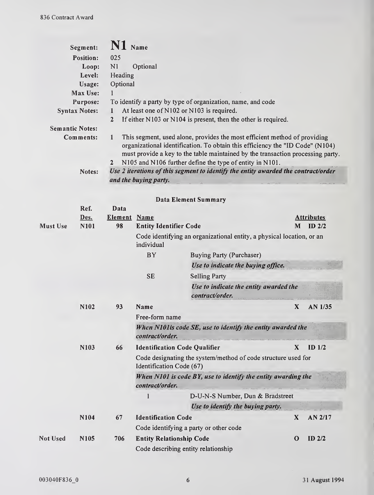|                 | Segment:               | $\bf{N1}$ Name      |                                 |                                                                                                                                                                                                                                                                                                           |              |                   |
|-----------------|------------------------|---------------------|---------------------------------|-----------------------------------------------------------------------------------------------------------------------------------------------------------------------------------------------------------------------------------------------------------------------------------------------------------|--------------|-------------------|
|                 | <b>Position:</b>       | 025                 |                                 |                                                                                                                                                                                                                                                                                                           |              |                   |
|                 | Loop:                  | N <sub>1</sub>      | Optional                        |                                                                                                                                                                                                                                                                                                           |              |                   |
|                 | Level:                 | Heading             |                                 |                                                                                                                                                                                                                                                                                                           |              |                   |
|                 | Usage:                 | Optional            |                                 |                                                                                                                                                                                                                                                                                                           |              |                   |
|                 | Max Use:               | 1                   |                                 |                                                                                                                                                                                                                                                                                                           |              |                   |
|                 | Purpose:               |                     |                                 | To identify a party by type of organization, name, and code                                                                                                                                                                                                                                               |              |                   |
|                 | <b>Syntax Notes:</b>   | 1<br>$\overline{2}$ |                                 | At least one of N102 or N103 is required.<br>If either N103 or N104 is present, then the other is required.                                                                                                                                                                                               |              |                   |
|                 | <b>Semantic Notes:</b> |                     |                                 |                                                                                                                                                                                                                                                                                                           |              |                   |
|                 | Comments:              | 1<br>$\overline{2}$ |                                 | This segment, used alone, provides the most efficient method of providing<br>organizational identification. To obtain this efficiency the "ID Code" (N104)<br>must provide a key to the table maintained by the transaction processing party.<br>N105 and N106 further define the type of entity in N101. |              |                   |
|                 | Notes:                 |                     | and the buying party.           | Use 2 iterations of this segment to identify the entity awarded the contract/order                                                                                                                                                                                                                        |              |                   |
|                 |                        |                     |                                 | <b>Data Element Summary</b>                                                                                                                                                                                                                                                                               |              |                   |
|                 | Ref.                   | Data                |                                 |                                                                                                                                                                                                                                                                                                           |              |                   |
|                 | Des.                   | <b>Element</b>      | <b>Name</b>                     |                                                                                                                                                                                                                                                                                                           |              | <b>Attributes</b> |
| <b>Must Use</b> | N <sub>101</sub>       | 98                  | <b>Entity Identifier Code</b>   |                                                                                                                                                                                                                                                                                                           | M            | ID $2/2$          |
|                 |                        |                     | individual                      | Code identifying an organizational entity, a physical location, or an                                                                                                                                                                                                                                     |              |                   |
|                 |                        |                     | <b>BY</b>                       | <b>Buying Party (Purchaser)</b>                                                                                                                                                                                                                                                                           |              |                   |
|                 |                        |                     |                                 | Use to indicate the buying office.                                                                                                                                                                                                                                                                        |              |                   |
|                 |                        |                     | <b>SE</b>                       | <b>Selling Party</b>                                                                                                                                                                                                                                                                                      |              |                   |
|                 |                        |                     |                                 | Use to indicate the entity awarded the<br>contract/order.                                                                                                                                                                                                                                                 |              |                   |
|                 | N102                   | 93                  | Name                            |                                                                                                                                                                                                                                                                                                           | $\mathbf{X}$ | AN 1/35           |
|                 |                        |                     | Free-form name                  |                                                                                                                                                                                                                                                                                                           |              |                   |
|                 |                        |                     | contract/order.                 | When N101 is code SE, use to identify the entity awarded the<br><u>an ing kalendar sa mga mga kalendar ng kalendar sa mga kalendar sa mga kalendar sa mga kalendar sa mga kalendar sa mga kalendar sa mga kalendar sa mga kalendar sa mga kalendar sa mga kalendar sa mga kalendar sa mga kalend</u>      |              |                   |
|                 | N103                   | 66                  |                                 | <b>Identification Code Qualifier</b>                                                                                                                                                                                                                                                                      | X            | ID $1/2$          |
|                 |                        |                     | Identification Code (67)        | Code designating the system/method of code structure used for                                                                                                                                                                                                                                             |              |                   |
|                 |                        |                     | contract/order.                 | When N101 is code BY, use to identify the entity awarding the                                                                                                                                                                                                                                             |              |                   |
|                 |                        |                     | $\mathbf{1}$                    | D-U-N-S Number, Dun & Bradstreet                                                                                                                                                                                                                                                                          |              |                   |
|                 |                        |                     |                                 | Use to identify the buying party.                                                                                                                                                                                                                                                                         |              |                   |
|                 | N104                   | 67                  | <b>Identification Code</b>      |                                                                                                                                                                                                                                                                                                           | $\mathbf{X}$ | AN 2/17           |
|                 |                        |                     |                                 | Code identifying a party or other code                                                                                                                                                                                                                                                                    |              |                   |
| <b>Not Used</b> | N105                   | 706                 | <b>Entity Relationship Code</b> |                                                                                                                                                                                                                                                                                                           | $\mathbf 0$  | ID $2/2$          |
|                 |                        |                     |                                 |                                                                                                                                                                                                                                                                                                           |              |                   |
|                 |                        |                     |                                 | Code describing entity relationship                                                                                                                                                                                                                                                                       |              |                   |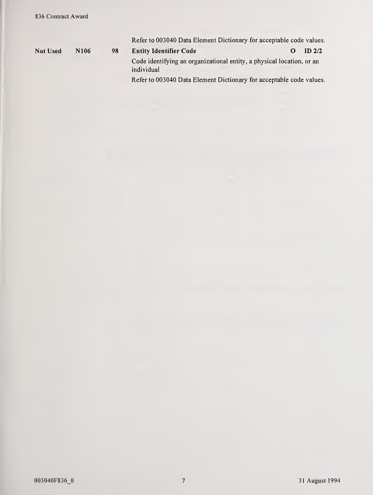|                 |                  |    | Refer to 003040 Data Element Dictionary for acceptable code values.                 |   |          |
|-----------------|------------------|----|-------------------------------------------------------------------------------------|---|----------|
| <b>Not Used</b> | N <sub>106</sub> | 98 | <b>Entity Identifier Code</b>                                                       | O | ID $2/2$ |
|                 |                  |    | Code identifying an organizational entity, a physical location, or an<br>individual |   |          |
|                 |                  |    | Refer to 003040 Data Element Dictionary for acceptable code values.                 |   |          |

 $\sim$ 

 $\mathcal{A}$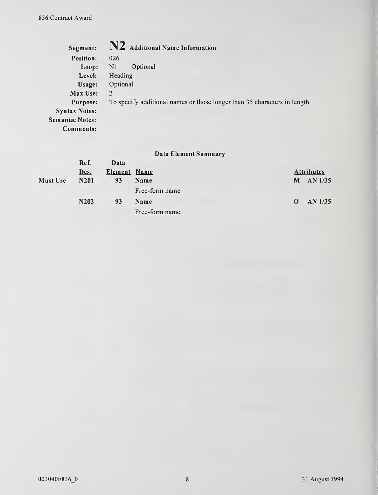| Segment:               | $\bf N2$ Additional Name Information                                     |
|------------------------|--------------------------------------------------------------------------|
| <b>Position:</b>       | 026                                                                      |
| Loop:                  | Optional<br>N1                                                           |
| Level:                 | Heading                                                                  |
| Usage:                 | Optional                                                                 |
| Max Use:               | $\overline{2}$                                                           |
| Purpose:               | To specify additional names or those longer than 35 characters in length |
| <b>Syntax Notes:</b>   |                                                                          |
| <b>Semantic Notes:</b> |                                                                          |
| Comments:              |                                                                          |

## Data Element Summary

| Ref. | Data |                |                     |
|------|------|----------------|---------------------|
| Des. |      |                | <b>Attributes</b>   |
| N201 | 93   | Name           | $AN$ 1/35<br>M      |
|      |      | Free-form name |                     |
| N202 | 93   | Name           | AN 1/35<br>$\Omega$ |
|      |      | Free-form name |                     |
|      |      |                | Element Name        |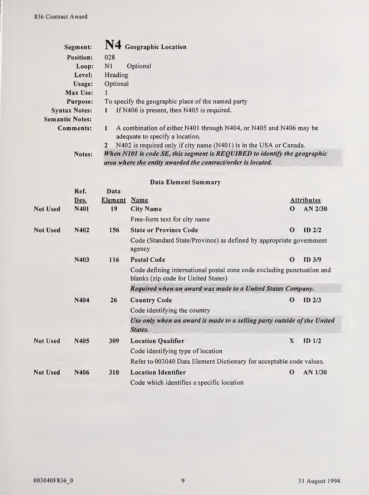| Segment:               | N4 Geographic Location                                                        |
|------------------------|-------------------------------------------------------------------------------|
| <b>Position:</b>       | 028                                                                           |
| Loop:                  | N <sub>1</sub><br>Optional                                                    |
| Level:                 | Heading                                                                       |
| Usage:                 | Optional                                                                      |
| Max Use:               |                                                                               |
| Purpose:               | To specify the geographic place of the named party                            |
| <b>Syntax Notes:</b>   | If N406 is present, then N405 is required.<br>$\mathbf{1}$                    |
| <b>Semantic Notes:</b> |                                                                               |
| Comments:              | A combination of either N401 through N404, or N405 and N406 may be            |
|                        | adequate to specify a location.                                               |
|                        | N402 is required only if city name (N401) is in the USA or Canada.            |
| Notes:                 | When $N101$ is code SE, this segment is $REQUIRED$ to identify the geographic |
|                        | area where the entity awarded the contract/order is located.                  |

|                 | Ref. | Data    |                                                                                                               |             |                   |
|-----------------|------|---------|---------------------------------------------------------------------------------------------------------------|-------------|-------------------|
|                 | Des. | Element | <b>Name</b>                                                                                                   |             | <b>Attributes</b> |
| <b>Not Used</b> | N401 | 19      | <b>City Name</b>                                                                                              | $\mathbf 0$ | AN 2/30           |
|                 |      |         | Free-form text for city name                                                                                  |             |                   |
| <b>Not Used</b> | N402 | 156     | <b>State or Province Code</b>                                                                                 | $\mathbf 0$ | $ID$ $2/2$        |
|                 |      |         | Code (Standard State/Province) as defined by appropriate government<br>agency                                 |             |                   |
|                 | N403 | 116     | <b>Postal Code</b>                                                                                            | $\Omega$    | ID $3/9$          |
|                 |      |         | Code defining international postal zone code excluding punctuation and<br>blanks (zip code for United States) |             |                   |
|                 |      |         | Required when an award was made to a United States Company.                                                   |             |                   |
|                 | N404 | 26      | <b>Country Code</b>                                                                                           | $\mathbf 0$ | ID $2/3$          |
|                 |      |         | Code identifying the country                                                                                  |             |                   |
|                 |      |         | Use only when an award is made to a selling party outside of the United<br>States.                            |             |                   |
| <b>Not Used</b> | N405 | 309     | <b>Location Qualifier</b>                                                                                     | X           | ID $1/2$          |
|                 |      |         | Code identifying type of location                                                                             |             |                   |
|                 |      |         | Refer to 003040 Data Element Dictionary for acceptable code values.                                           |             |                   |
| <b>Not Used</b> | N406 | 310     | <b>Location Identifier</b>                                                                                    | O           | AN 1/30           |
|                 |      |         | Code which identifies a specific location                                                                     |             |                   |

#### Data Element Summary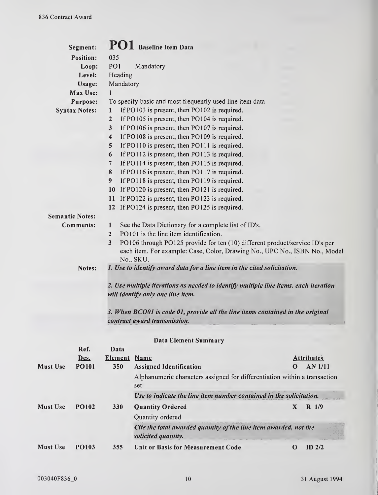| Segment:                | PO1 Baseline Item Data                                                                                                                                                               |                               |  |  |  |  |
|-------------------------|--------------------------------------------------------------------------------------------------------------------------------------------------------------------------------------|-------------------------------|--|--|--|--|
| <b>Position:</b>        | 035                                                                                                                                                                                  |                               |  |  |  |  |
| Loop:                   | PO1<br>Mandatory                                                                                                                                                                     |                               |  |  |  |  |
| Level:                  | Heading                                                                                                                                                                              |                               |  |  |  |  |
| Usage:                  | Mandatory                                                                                                                                                                            |                               |  |  |  |  |
| Max Use:                |                                                                                                                                                                                      |                               |  |  |  |  |
| Purpose:                | To specify basic and most frequently used line item data                                                                                                                             |                               |  |  |  |  |
| <b>Syntax Notes:</b>    | If PO103 is present, then PO102 is required.<br>1                                                                                                                                    |                               |  |  |  |  |
|                         | If PO105 is present, then PO104 is required.<br>$\boldsymbol{2}$                                                                                                                     |                               |  |  |  |  |
|                         | $\mathbf{3}$<br>If PO106 is present, then PO107 is required.                                                                                                                         |                               |  |  |  |  |
|                         | If PO108 is present, then PO109 is required.<br>4                                                                                                                                    |                               |  |  |  |  |
|                         | If PO110 is present, then PO111 is required.<br>5                                                                                                                                    |                               |  |  |  |  |
|                         | If PO112 is present, then PO113 is required.<br>6                                                                                                                                    |                               |  |  |  |  |
|                         | If PO114 is present, then PO115 is required.<br>7                                                                                                                                    |                               |  |  |  |  |
|                         | If PO116 is present, then PO117 is required.<br>8                                                                                                                                    |                               |  |  |  |  |
|                         | 9<br>If PO118 is present, then PO119 is required.                                                                                                                                    |                               |  |  |  |  |
|                         | 10 If PO120 is present, then PO121 is required.                                                                                                                                      |                               |  |  |  |  |
|                         | If PO122 is present, then PO123 is required.<br>11                                                                                                                                   |                               |  |  |  |  |
|                         | If $PO124$ is present, then $PO125$ is required.<br>12                                                                                                                               |                               |  |  |  |  |
| <b>Semantic Notes:</b>  |                                                                                                                                                                                      |                               |  |  |  |  |
| Comments:               | See the Data Dictionary for a complete list of ID's.<br>$\mathbf{1}$                                                                                                                 |                               |  |  |  |  |
|                         | PO101 is the line item identification.<br>$\overline{2}$                                                                                                                             |                               |  |  |  |  |
|                         | $\overline{\mathbf{3}}$<br>PO106 through PO125 provide for ten (10) different product/service ID's per<br>each item. For example: Case, Color, Drawing No., UPC No., ISBN No., Model |                               |  |  |  |  |
|                         | No., SKU.                                                                                                                                                                            |                               |  |  |  |  |
| Notes:                  | 1. Use to identify award data for a line item in the cited solicitation.                                                                                                             |                               |  |  |  |  |
|                         | 2. Use multiple iterations as needed to identify multiple line items. each iteration                                                                                                 |                               |  |  |  |  |
|                         | will identify only one line item.                                                                                                                                                    |                               |  |  |  |  |
|                         | 3. When BCO01 is code 01, provide all the line items contained in the original                                                                                                       |                               |  |  |  |  |
|                         | contract award transmission.                                                                                                                                                         |                               |  |  |  |  |
|                         | Data Element Summary                                                                                                                                                                 |                               |  |  |  |  |
| Ref.                    | Data                                                                                                                                                                                 |                               |  |  |  |  |
| Des.                    | <b>Element</b><br><b>Name</b>                                                                                                                                                        | <b>Attributes</b>             |  |  |  |  |
| <b>PO101</b><br>ıst Use | 350<br><b>Assigned Identification</b>                                                                                                                                                | <b>AN 1/11</b><br>$\mathbf 0$ |  |  |  |  |

|                 | Des.         | Element    | Name                                                                                     |          | <b>Attributes</b> |                 |
|-----------------|--------------|------------|------------------------------------------------------------------------------------------|----------|-------------------|-----------------|
| <b>Must Use</b> | <b>PO101</b> | 350        | <b>Assigned Identification</b>                                                           | O        | <b>AN 1/11</b>    |                 |
|                 |              |            | Alphanumeric characters assigned for differentiation within a transaction<br>set         |          |                   |                 |
|                 |              |            | Use to indicate the line item number contained in the solicitation.                      |          |                   | $\mathcal{M}$ : |
| <b>Must Use</b> | <b>PO102</b> | <b>330</b> | <b>Quantity Ordered</b>                                                                  | X        | $R$ 1/9           |                 |
|                 |              |            | Quantity ordered                                                                         |          |                   |                 |
|                 |              |            | Cite the total awarded quantity of the line item awarded, not the<br>solicited quantity. |          |                   |                 |
| <b>Must Use</b> | <b>PO103</b> | 355        | Unit or Basis for Measurement Code                                                       | $\Omega$ | ID $2/2$          |                 |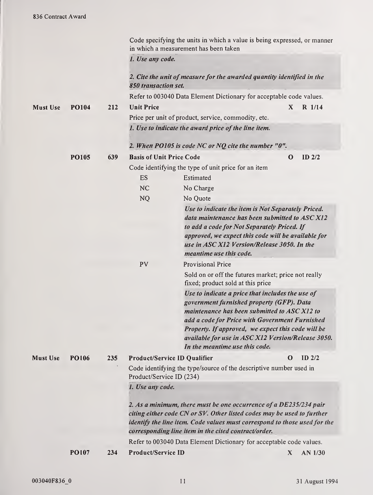|                 |              |     | Code specifying the units in which a value is being expressed, or manner<br>in which a measurement has been taken |                                                                                                                                                                                                                                                                                                                                               |                                                                                                                                                                                                                                                                                      |          |  |
|-----------------|--------------|-----|-------------------------------------------------------------------------------------------------------------------|-----------------------------------------------------------------------------------------------------------------------------------------------------------------------------------------------------------------------------------------------------------------------------------------------------------------------------------------------|--------------------------------------------------------------------------------------------------------------------------------------------------------------------------------------------------------------------------------------------------------------------------------------|----------|--|
|                 |              |     | 1. Use any code.<br>850 transaction set.                                                                          | 2. Cite the unit of measure for the awarded quantity identified in the                                                                                                                                                                                                                                                                        |                                                                                                                                                                                                                                                                                      |          |  |
|                 |              |     |                                                                                                                   | Refer to 003040 Data Element Dictionary for acceptable code values.                                                                                                                                                                                                                                                                           |                                                                                                                                                                                                                                                                                      |          |  |
| <b>Must Use</b> | <b>PO104</b> | 212 | <b>Unit Price</b>                                                                                                 |                                                                                                                                                                                                                                                                                                                                               | X                                                                                                                                                                                                                                                                                    | R 1/14   |  |
|                 |              |     | Price per unit of product, service, commodity, etc.                                                               |                                                                                                                                                                                                                                                                                                                                               |                                                                                                                                                                                                                                                                                      |          |  |
|                 |              |     |                                                                                                                   | 1. Use to indicate the award price of the line item.                                                                                                                                                                                                                                                                                          |                                                                                                                                                                                                                                                                                      |          |  |
|                 |              |     |                                                                                                                   | 2. When PO105 is code NC or NQ cite the number "0".                                                                                                                                                                                                                                                                                           |                                                                                                                                                                                                                                                                                      |          |  |
|                 | <b>PO105</b> | 639 | <b>Basis of Unit Price Code</b>                                                                                   |                                                                                                                                                                                                                                                                                                                                               | $\mathbf 0$                                                                                                                                                                                                                                                                          | ID $2/2$ |  |
|                 |              |     |                                                                                                                   | Code identifying the type of unit price for an item                                                                                                                                                                                                                                                                                           |                                                                                                                                                                                                                                                                                      |          |  |
|                 |              |     | ES                                                                                                                | Estimated                                                                                                                                                                                                                                                                                                                                     |                                                                                                                                                                                                                                                                                      |          |  |
|                 |              |     | <b>NC</b>                                                                                                         | No Charge                                                                                                                                                                                                                                                                                                                                     |                                                                                                                                                                                                                                                                                      |          |  |
|                 |              |     | <b>NQ</b>                                                                                                         | No Quote                                                                                                                                                                                                                                                                                                                                      |                                                                                                                                                                                                                                                                                      |          |  |
|                 |              |     |                                                                                                                   |                                                                                                                                                                                                                                                                                                                                               | Use to indicate the item is Not Separately Priced.<br>data maintenance has been submitted to ASC X12<br>to add a code for Not Separately Priced. If<br>approved, we expect this code will be available for<br>use in ASC X12 Version/Release 3050. In the<br>meantime use this code. |          |  |
|                 |              |     | <b>PV</b>                                                                                                         | <b>Provisional Price</b>                                                                                                                                                                                                                                                                                                                      |                                                                                                                                                                                                                                                                                      |          |  |
|                 |              |     |                                                                                                                   | Sold on or off the futures market; price not really<br>fixed; product sold at this price                                                                                                                                                                                                                                                      |                                                                                                                                                                                                                                                                                      |          |  |
|                 |              |     |                                                                                                                   | Use to indicate a price that includes the use of<br>government furnished property (GFP). Data<br>maintenance has been submitted to ASC X12 to<br>add a code for Price with Government Furnished<br>Property. If approved, we expect this code will be<br>available for use in ASC X12 Version/Release 3050.<br>In the meantime use this code. |                                                                                                                                                                                                                                                                                      |          |  |
| <b>Must Use</b> | <b>PO106</b> | 235 |                                                                                                                   | <b>Product/Service ID Qualifier</b>                                                                                                                                                                                                                                                                                                           | $\mathbf 0$                                                                                                                                                                                                                                                                          | ID $2/2$ |  |
|                 |              |     | Product/Service ID (234)                                                                                          | Code identifying the type/source of the descriptive number used in                                                                                                                                                                                                                                                                            |                                                                                                                                                                                                                                                                                      |          |  |
|                 |              |     | 1. Use any code.                                                                                                  |                                                                                                                                                                                                                                                                                                                                               |                                                                                                                                                                                                                                                                                      |          |  |
|                 |              |     |                                                                                                                   | 2. As a minimum, there must be one occurrence of a DE235/234 pair<br>citing either code CN or SV. Other listed codes may be used to further<br>identify the line item. Code values must correspond to those used for the<br>corresponding line item in the cited contract/order.                                                              |                                                                                                                                                                                                                                                                                      |          |  |
|                 |              |     |                                                                                                                   | Refer to 003040 Data Element Dictionary for acceptable code values.                                                                                                                                                                                                                                                                           |                                                                                                                                                                                                                                                                                      |          |  |
|                 | <b>PO107</b> | 234 | <b>Product/Service ID</b>                                                                                         |                                                                                                                                                                                                                                                                                                                                               | $\mathbf{X}$                                                                                                                                                                                                                                                                         | AN 1/30  |  |
|                 |              |     |                                                                                                                   |                                                                                                                                                                                                                                                                                                                                               |                                                                                                                                                                                                                                                                                      |          |  |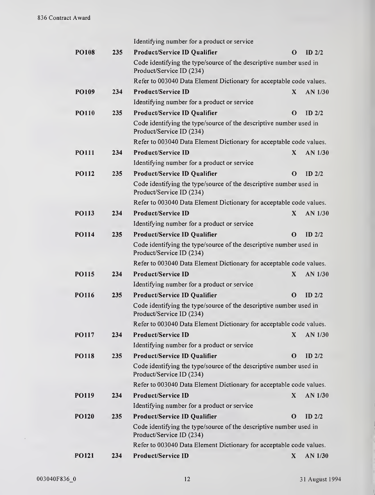|              |     | Identifying number for a product or service                                                    |             |                |
|--------------|-----|------------------------------------------------------------------------------------------------|-------------|----------------|
| PO108        | 235 | <b>Product/Service ID Qualifier</b>                                                            | $\mathbf 0$ | ID $2/2$       |
|              |     | Code identifying the type/source of the descriptive number used in<br>Product/Service ID (234) |             |                |
|              |     | Refer to 003040 Data Element Dictionary for acceptable code values.                            |             |                |
| PO109        | 234 | <b>Product/Service ID</b>                                                                      | X           | AN 1/30        |
|              |     | Identifying number for a product or service                                                    |             |                |
| PO110        | 235 | <b>Product/Service ID Qualifier</b>                                                            | $\bf{O}$    | ID $2/2$       |
|              |     | Code identifying the type/source of the descriptive number used in<br>Product/Service ID (234) |             |                |
|              |     | Refer to 003040 Data Element Dictionary for acceptable code values.                            |             |                |
| <b>PO111</b> | 234 | <b>Product/Service ID</b>                                                                      | X           | <b>AN 1/30</b> |
|              |     | Identifying number for a product or service                                                    |             |                |
| <b>PO112</b> | 235 | <b>Product/Service ID Qualifier</b>                                                            | $\mathbf 0$ | ID $2/2$       |
|              |     | Code identifying the type/source of the descriptive number used in<br>Product/Service ID (234) |             |                |
|              |     | Refer to 003040 Data Element Dictionary for acceptable code values.                            |             |                |
| <b>PO113</b> | 234 | <b>Product/Service ID</b>                                                                      | X           | AN 1/30        |
|              |     | Identifying number for a product or service                                                    |             |                |
| <b>PO114</b> | 235 | <b>Product/Service ID Qualifier</b>                                                            | $\mathbf 0$ | ID $2/2$       |
|              |     | Code identifying the type/source of the descriptive number used in<br>Product/Service ID (234) |             |                |
|              |     | Refer to 003040 Data Element Dictionary for acceptable code values.                            |             |                |
| <b>PO115</b> | 234 | <b>Product/Service ID</b>                                                                      | X           | AN 1/30        |
|              |     | Identifying number for a product or service                                                    |             |                |
| PO116        | 235 | <b>Product/Service ID Qualifier</b>                                                            | O           | ID $2/2$       |
|              |     | Code identifying the type/source of the descriptive number used in<br>Product/Service ID (234) |             |                |
|              |     | Refer to 003040 Data Element Dictionary for acceptable code values.                            |             |                |
| PO117        | 234 | <b>Product/Service ID</b>                                                                      | X           | AN 1/30        |
|              |     | Identifying number for a product or service                                                    |             |                |
| <b>PO118</b> | 235 | <b>Product/Service ID Qualifier</b>                                                            | $\mathbf O$ | ID $2/2$       |
|              |     | Code identifying the type/source of the descriptive number used in<br>Product/Service ID (234) |             |                |
|              |     | Refer to 003040 Data Element Dictionary for acceptable code values.                            |             |                |
| PO119        | 234 | <b>Product/Service ID</b>                                                                      | X           | AN 1/30        |
|              |     | Identifying number for a product or service                                                    |             |                |
| <b>PO120</b> | 235 | <b>Product/Service ID Qualifier</b>                                                            | $\mathbf 0$ | ID $2/2$       |
|              |     | Code identifying the type/source of the descriptive number used in<br>Product/Service ID (234) |             |                |
|              |     | Refer to 003040 Data Element Dictionary for acceptable code values.                            |             |                |
| <b>PO121</b> | 234 | <b>Product/Service ID</b>                                                                      | X           | AN 1/30        |

 $\bar{\mathcal{A}}$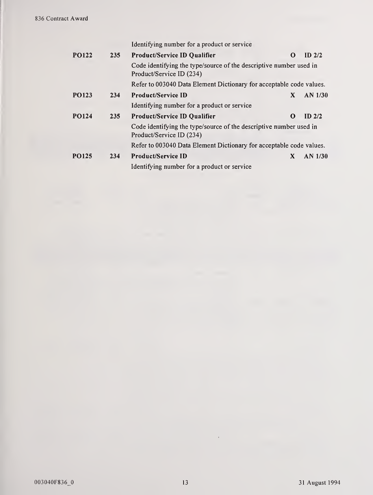|              |     | Identifying number for a product or service                                                    |    |          |  |  |  |
|--------------|-----|------------------------------------------------------------------------------------------------|----|----------|--|--|--|
| <b>PO122</b> | 235 | <b>Product/Service ID Qualifier</b>                                                            | O  | ID $2/2$ |  |  |  |
|              |     | Code identifying the type/source of the descriptive number used in<br>Product/Service ID (234) |    |          |  |  |  |
|              |     | Refer to 003040 Data Element Dictionary for acceptable code values.                            |    |          |  |  |  |
| <b>PO123</b> | 234 | <b>Product/Service ID</b>                                                                      | X. | AN 1/30  |  |  |  |
|              |     | Identifying number for a product or service                                                    |    |          |  |  |  |
| <b>PO124</b> | 235 | <b>Product/Service ID Qualifier</b>                                                            | O  | ID $2/2$ |  |  |  |
|              |     | Code identifying the type/source of the descriptive number used in<br>Product/Service ID (234) |    |          |  |  |  |
|              |     | Refer to 003040 Data Element Dictionary for acceptable code values.                            |    |          |  |  |  |
| <b>PO125</b> | 234 | <b>Product/Service ID</b>                                                                      | X  | AN 1/30  |  |  |  |
|              |     | Identifying number for a product or service                                                    |    |          |  |  |  |

 $\bar{\alpha}$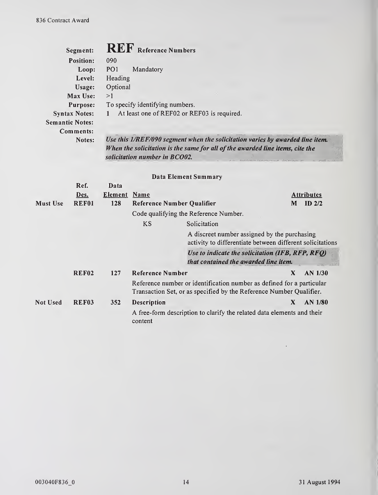|                      | Segment:               |                     | <b>REF</b> Reference Numbers    |                                                                                                                                                                |              |                   |  |  |  |
|----------------------|------------------------|---------------------|---------------------------------|----------------------------------------------------------------------------------------------------------------------------------------------------------------|--------------|-------------------|--|--|--|
|                      | <b>Position:</b>       | 090                 |                                 |                                                                                                                                                                |              |                   |  |  |  |
|                      | Loop:                  | PO <sub>1</sub>     | Mandatory                       |                                                                                                                                                                |              |                   |  |  |  |
|                      | Level:                 | Heading             |                                 |                                                                                                                                                                |              |                   |  |  |  |
|                      | Usage:                 | Optional            |                                 |                                                                                                                                                                |              |                   |  |  |  |
|                      | Max Use:               | >1                  |                                 |                                                                                                                                                                |              |                   |  |  |  |
|                      | Purpose:               |                     | To specify identifying numbers. |                                                                                                                                                                |              |                   |  |  |  |
| <b>Syntax Notes:</b> |                        | 1                   |                                 | At least one of REF02 or REF03 is required.                                                                                                                    |              |                   |  |  |  |
|                      | <b>Semantic Notes:</b> |                     |                                 |                                                                                                                                                                |              |                   |  |  |  |
|                      | Comments:              |                     |                                 |                                                                                                                                                                |              |                   |  |  |  |
|                      | Notes:                 |                     | solicitation number in BCO02.   | Use this 1/REF/090 segment when the solicitation varies by awarded line item.<br>When the solicitation is the same for all of the awarded line items, cite the |              |                   |  |  |  |
|                      |                        |                     |                                 | Data Element Summary                                                                                                                                           |              |                   |  |  |  |
|                      | Ref.                   | Data                |                                 |                                                                                                                                                                |              |                   |  |  |  |
|                      | Des.                   | <b>Element</b> Name |                                 |                                                                                                                                                                |              | <b>Attributes</b> |  |  |  |
| <b>Must Use</b>      | REF01                  | 128                 |                                 | <b>Reference Number Qualifier</b>                                                                                                                              | M            | ID $2/2$          |  |  |  |
|                      |                        |                     |                                 | Code qualifying the Reference Number.                                                                                                                          |              |                   |  |  |  |
|                      |                        |                     | <b>KS</b>                       | Solicitation                                                                                                                                                   |              |                   |  |  |  |
|                      |                        |                     |                                 | A discreet number assigned by the purchasing<br>activity to differentiate between different solicitations                                                      |              |                   |  |  |  |
|                      |                        |                     |                                 | Use to indicate the solicitation (IFB, RFP, RFQ)<br>that contained the awarded line item.                                                                      |              |                   |  |  |  |
|                      | <b>REF02</b>           | 127                 | <b>Reference Number</b>         |                                                                                                                                                                | $\mathbf{X}$ | <b>AN 1/30</b>    |  |  |  |
|                      |                        |                     |                                 | Reference number or identification number as defined for a particular<br>Transaction Set, or as specified by the Reference Number Qualifier.                   |              |                   |  |  |  |
| <b>Not Used</b>      | <b>REF03</b>           | 352                 | Description                     |                                                                                                                                                                | $\mathbf{X}$ | <b>AN 1/80</b>    |  |  |  |
|                      |                        |                     | content                         | A free-form description to clarify the related data elements and their                                                                                         |              |                   |  |  |  |

 $\mathcal{L}^{\pm}$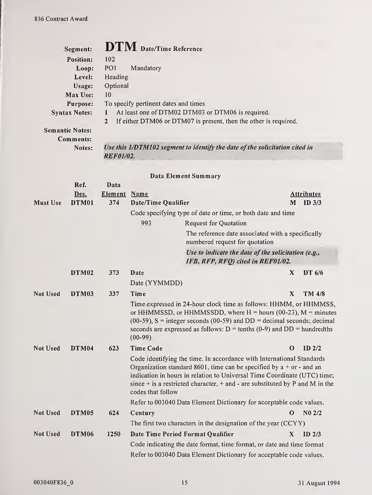|                 | Segment:               |                     | <b>DTM</b> Date/Time Reference       |                                                                                                                                                                                                                                                                                                                   |              |                   |
|-----------------|------------------------|---------------------|--------------------------------------|-------------------------------------------------------------------------------------------------------------------------------------------------------------------------------------------------------------------------------------------------------------------------------------------------------------------|--------------|-------------------|
|                 | <b>Position:</b>       | 102                 |                                      |                                                                                                                                                                                                                                                                                                                   |              |                   |
|                 | Loop:                  | PO1                 | Mandatory                            |                                                                                                                                                                                                                                                                                                                   |              |                   |
|                 | Level:                 | Heading             |                                      |                                                                                                                                                                                                                                                                                                                   |              |                   |
|                 | Usage:                 | Optional            |                                      |                                                                                                                                                                                                                                                                                                                   |              |                   |
|                 | Max Use:               | 10                  |                                      |                                                                                                                                                                                                                                                                                                                   |              |                   |
|                 | Purpose:               |                     | To specify pertinent dates and times |                                                                                                                                                                                                                                                                                                                   |              |                   |
|                 | <b>Syntax Notes:</b>   | 1<br>$\overline{2}$ |                                      | At least one of DTM02 DTM03 or DTM06 is required.<br>If either DTM06 or DTM07 is present, then the other is required.                                                                                                                                                                                             |              |                   |
|                 | <b>Semantic Notes:</b> |                     |                                      |                                                                                                                                                                                                                                                                                                                   |              |                   |
|                 | Comments:              |                     |                                      |                                                                                                                                                                                                                                                                                                                   |              |                   |
|                 | Notes:                 | <b>REF01/02.</b>    |                                      | Use this 1/DTM102 segment to identify the date of the solicitation cited in                                                                                                                                                                                                                                       |              |                   |
|                 |                        |                     |                                      | Data Element Summary                                                                                                                                                                                                                                                                                              |              |                   |
|                 | Ref.                   | Data                |                                      |                                                                                                                                                                                                                                                                                                                   |              |                   |
|                 | Des.                   | <b>Element</b> Name |                                      |                                                                                                                                                                                                                                                                                                                   |              | <b>Attributes</b> |
| <b>Must Use</b> | DTM01                  | 374                 | <b>Date/Time Qualifier</b>           |                                                                                                                                                                                                                                                                                                                   | M            | ID $3/3$          |
|                 |                        |                     |                                      | Code specifying type of date or time, or both date and time                                                                                                                                                                                                                                                       |              |                   |
|                 |                        |                     | 993                                  | <b>Request for Quotation</b>                                                                                                                                                                                                                                                                                      |              |                   |
|                 |                        |                     |                                      | The reference date associated with a specifically<br>numbered request for quotation                                                                                                                                                                                                                               |              |                   |
|                 |                        |                     |                                      | Use to indicate the date of the solicitation (e.g.,<br>IFB, RFP, RFQ) cited in REF01/02.                                                                                                                                                                                                                          |              |                   |
|                 | DTM02                  | 373                 | Date                                 |                                                                                                                                                                                                                                                                                                                   | $\mathbf{X}$ | DT 6/6            |
|                 |                        |                     | Date (YYMMDD)                        |                                                                                                                                                                                                                                                                                                                   |              |                   |
| <b>Not Used</b> | DTM03                  | 337                 | Time                                 |                                                                                                                                                                                                                                                                                                                   | $\mathbf{X}$ | <b>TM 4/8</b>     |
|                 |                        |                     | $(00-99)$                            | Time expressed in 24-hour clock time as follows: HHMM, or HHMMSS,<br>or HHMMSSD, or HHMMSSDD, where $H =$ hours (00-23), $M =$ minutes<br>(00-59), $S =$ integer seconds (00-59) and $DD =$ decimal seconds; decimal<br>seconds are expressed as follows: $D = \text{tenths} (0-9)$ and $DD = \text{hundredths}$  |              |                   |
| <b>Not Used</b> | DTM04                  | 623                 | <b>Time Code</b>                     |                                                                                                                                                                                                                                                                                                                   | $\mathbf 0$  | ID $2/2$          |
|                 |                        |                     | codes that follow                    | Code identifying the time. In accordance with International Standards<br>Organization standard 8601, time can be specified by $a + or - and an$<br>indication in hours in relation to Universal Time Coordinate (UTC) time;<br>since $+$ is a restricted character, $+$ and $-$ are substituted by P and M in the |              |                   |
|                 |                        |                     |                                      | Refer to 003040 Data Element Dictionary for acceptable code values.                                                                                                                                                                                                                                               |              |                   |
| <b>Not Used</b> | DTM05                  | 624                 | Century                              |                                                                                                                                                                                                                                                                                                                   | O            | $N0$ 2/2          |
|                 |                        |                     |                                      | The first two characters in the designation of the year (CCYY)                                                                                                                                                                                                                                                    |              |                   |
| <b>Not Used</b> | DTM06                  | 1250                |                                      | Date Time Period Format Qualifier                                                                                                                                                                                                                                                                                 | $\mathbf{X}$ | ID $2/3$          |
|                 |                        |                     |                                      |                                                                                                                                                                                                                                                                                                                   |              |                   |
|                 |                        |                     |                                      | Code indicating the date format, time format, or date and time format                                                                                                                                                                                                                                             |              |                   |
|                 |                        |                     |                                      | Refer to 003040 Data Element Dictionary for acceptable code values.                                                                                                                                                                                                                                               |              |                   |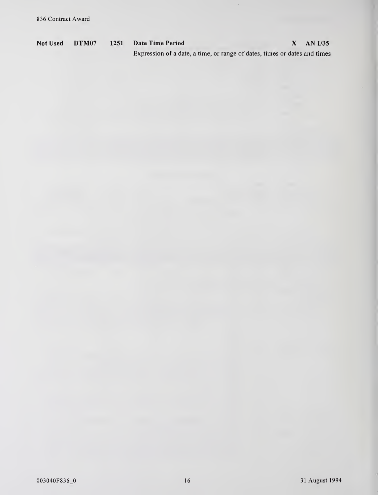| <b>Not Used</b> | DTM07 | 1251 | Date Time Period                                                          | $X$ AN 1/35 |  |
|-----------------|-------|------|---------------------------------------------------------------------------|-------------|--|
|                 |       |      | Expression of a date, a time, or range of dates, times or dates and times |             |  |

 $\hat{\mathcal{A}}$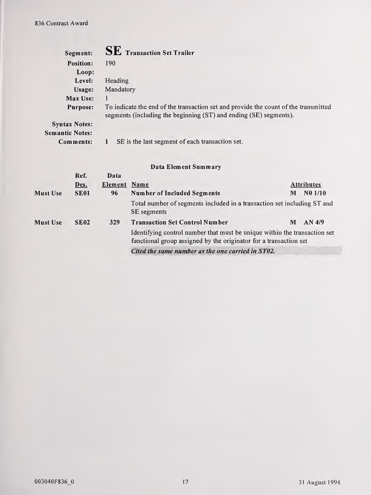| Segment:               | $\mathbf{SE}$ Transaction Set Trailer                                                                                                                    |
|------------------------|----------------------------------------------------------------------------------------------------------------------------------------------------------|
| <b>Position:</b>       | 190                                                                                                                                                      |
| Loop:                  |                                                                                                                                                          |
| Level:                 | Heading                                                                                                                                                  |
| Usage:                 | Mandatory                                                                                                                                                |
| <b>Max Use:</b>        |                                                                                                                                                          |
| Purpose:               | To indicate the end of the transaction set and provide the count of the transmitted<br>segments (including the beginning (ST) and ending (SE) segments). |
| <b>Syntax Notes:</b>   |                                                                                                                                                          |
| <b>Semantic Notes:</b> |                                                                                                                                                          |
| Comments:              | SE is the last segment of each transaction set.                                                                                                          |

## Data Element Summary

|                 | Ref.             | Data         |                                                                                                                                                |   |                   |
|-----------------|------------------|--------------|------------------------------------------------------------------------------------------------------------------------------------------------|---|-------------------|
|                 | Des.             | Element Name |                                                                                                                                                |   | <b>Attributes</b> |
| <b>Must Use</b> | SE <sub>01</sub> | 96           | <b>Number of Included Segments</b>                                                                                                             | M | N01/10            |
|                 |                  |              | Total number of segments included in a transaction set including ST and<br>SE segments                                                         |   |                   |
| <b>Must Use</b> | <b>SE02</b>      | 329          | <b>Transaction Set Control Number</b>                                                                                                          | M | $AN$ 4/9          |
|                 |                  |              | Identifying control number that must be unique within the transaction set<br>functional group assigned by the originator for a transaction set |   |                   |
|                 |                  |              | Cited the same number as the one carried in ST02.                                                                                              |   |                   |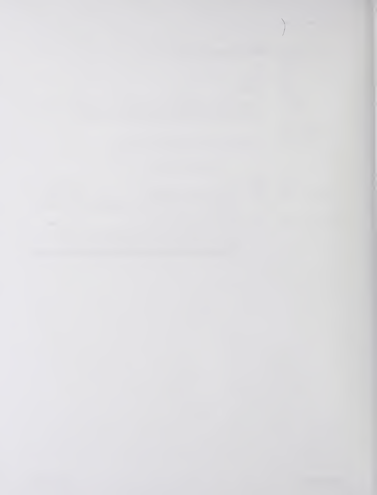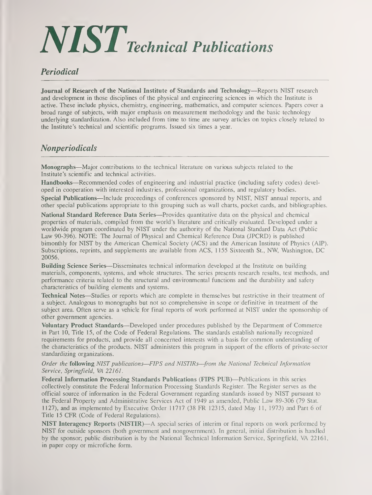# **NIST** Technical Publications

## Periodical

Journal of Research of the National Institute of Standards and Technology—Reports NIST research and development in those disciplines of the physical and engineering sciences in which the Institute is active. These include physics, chemistry, engineering, mathematics, and computer sciences. Papers cover a broad range of subjects, with major emphasis on measurement methodology and the basic technology underlying standardization. Also included from time to time are survey articles on topics closely related to the Institute's technical and scientific programs. Issued six times a year.

### Nonperiodicals

Monographs—Major contributions to the technical literature on various subjects related to the Institute's scientific and technical activities.

Handbooks—Recommended codes of engineering and industrial practice (including safety codes) developed in cooperation with interested industries, professional organizations, and regulatory bodies. Special Publications—Include proceedings of conferences sponsored by NIST, NIST annual reports, and other special publications appropriate to this grouping such as wall charts, pocket cards, and bibliographies.

National Standard Reference Data Series—Provides quantitative data on the physical and chemical properties of materials, compiled from the world's literature and critically evaluated. Developed under a worldwide program coordinated by NIST under the authority of the National Standard Data Act (Public Law 90-396). NOTE: The Journal of Physical and Chemical Reference Data (JPCRD) is published bimonthly for NIST by the American Chemical Society (ACS) and the American Institute of Physics (AIP). Subscriptions, reprints, and supplements are available from ACS, <sup>1</sup> <sup>155</sup> Sixteenth St., NW, Washington, DC 20056.

Building Science Series—Disseminates technical information developed at the Institute on building materials, components, systems, and whole structures. The series presents research results, test methods, and performance criteria related to the structural and environmental functions and the durability and safety characteristics of building elements and systems.

Technical Notes—Studies or reports which are complete in themselves but restrictive in their treatment of a subject. Analogous to monographs but not so comprehensive in scope or definitive in treatment of the subject area. Often serve as a vehicle for final reports of work performed at NIST under the sponsorship of other government agencies.

Voluntary Product Standards—Developed under procedures published by the Department of Commerce in Part 10, Title 15, of the Code of Federal Regulations. The standards establish nationally recognized requirements for products, and provide all concerned interests with <sup>a</sup> basis for common understanding of the characteristics of the products. NIST administers this program in support of the efforts of private-sector standardizing organizations.

#### Order the following NIST publications—FIPS and NISTIRs—from the National Technical Information Service, Springfield, VA 22161.

Federal Information Processing Standards Publications (FIPS PUB)—Publications in this series collectively constitute the Federal Information Processing Standards Register. The Register serves as the official source of information in the Federal Government regarding standards issued by NIST pursuant to the Federal Property and Administrative Services Act of 1949 as amended, Public Law 89-306 (79 Stat. <sup>1</sup> 127), and as implemented by Executive Order <sup>1</sup> 1717 (38 FR 12315, dated May 11, 1973) and Part 6 of Title <sup>15</sup> CFR (Code of Federal Regulations).

NIST Interagency Reports (NISTIR)—<sup>A</sup> special series of interim or final reports on work performed by NIST for outside sponsors (both government and nongovernment). In general, initial distribution is handled by the sponsor; public distribution is by the National Technical Information Service, Springfield, VA 22161, in paper copy or microfiche form.